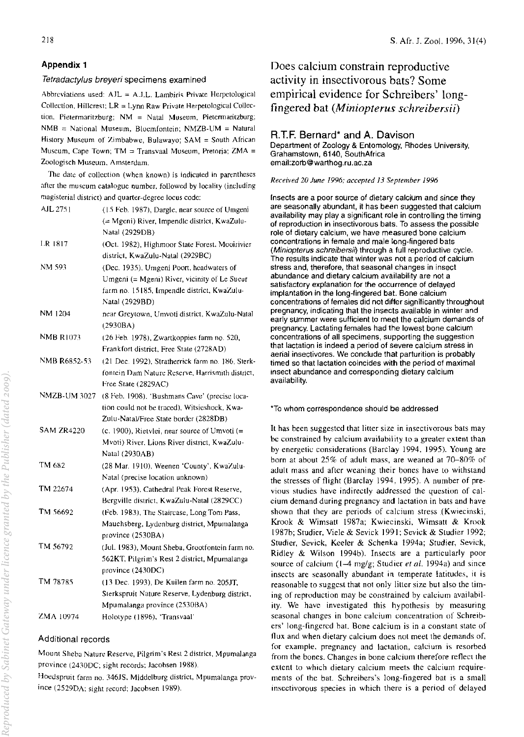## Appendix 1

### Tetradactylus breyeri specimens examined

Abbreviations used:  $A J L = A J.L.$  Lambiris Private Herpetological Collection, Hillcrest;  $LR = Lynn$  Raw Private Herpetological Collection, Pietermaritzburg; NM = Natal Museum, Pietermaritzburg;  $NMB = National Museum$ , Bloemfontein; NMZB-UM = Natural History Museum of Zimbabwe, Bulawayo; SAM = South African Museum, Cape Town; TM = Transvaal Museum, Pretoria; ZMA = Zoologisch Museum, Amsterdam.

The date of collection (when known) is indicated in parenthescs after the museum catalogue number, followed by locality (including magisterial district) and quarter-degree locus code:

| AJL 2751            | (15 Feb. 1987), Dargle, near source of Umgeni             |  |
|---------------------|-----------------------------------------------------------|--|
|                     | (= Mgeni) River, Impendle district, KwaZulu-              |  |
|                     | Natal (2929DB)                                            |  |
| LR 1817             | (Oct. 1982), Highmoor State Forest. Mooirivier            |  |
|                     | district, KwaZulu-Natal (2929BC).                         |  |
| NM 593              | (Dec. 1935), Umgeni Poort, headwaters of                  |  |
|                     | Umgeni (= Mgeni) River, vicinity of Le Sueur              |  |
|                     | farm no. 15185, Impendle district, KwaZulu-               |  |
|                     | Natal (2929BD)                                            |  |
| NM 1204             | near Greytown, Umvoti district, KwaZulu-Natal<br>(2930BA) |  |
| <b>NMB R1073</b>    | (26 Feb. 1978), Zwartkoppies farm no. 520,                |  |
|                     | Frankfort district, Free State (2728AD)                   |  |
| NMB R6852-53        | (21 Dec. 1992), Stratherrick farm no. 186, Sterk-         |  |
|                     | fontein Dam Nature Reserve, Harrismith district,          |  |
|                     | Free State (2829AC)                                       |  |
| <b>NMZB-UM 3027</b> | (8 Feb. 1908), 'Bushmans Cave' (precise loca-             |  |
|                     | tion could not be traced), Witsieshoek, Kwa-              |  |
|                     | Zulu-Natal/Free State border (2828DB)                     |  |
| SAM ZR4220          | (c. 1900), Rietvlei, near source of Umvoti $(=$           |  |
|                     | Mvoti) River, Lions River district, KwaZulu-              |  |
|                     | Natal (2930AB)                                            |  |
| TM 682              | (28 Mar. 1910), Weenen 'County', KwaZulu-                 |  |
|                     | Natal (precise location unknown)                          |  |
| TM 22674            | (Apr. 1953), Cathedral Peak Forest Reserve,               |  |
|                     | Bergville district, KwaZulu-Natal (2829CC)                |  |
| TM 56692            | (Feb. 1983), The Staircase, Long Tom Pass,                |  |
|                     | Mauchsberg, Lydenburg district, Mpumalanga                |  |
|                     | province (2530BA)                                         |  |
| TM 56792            | (Jul. 1983), Mount Sheba, Grootfontein farm no.           |  |
|                     | 562KT, Pilgrim's Rest 2 district, Mpumalanga              |  |
|                     | province (2430DC)                                         |  |
| TM 78785            | (13 Dec. 1993), De Kuilen farm no. 205JT,                 |  |
|                     | Sterkspruit Nature Reserve, Lydenburg district,           |  |
|                     | Mpumalanga province (2530BA)                              |  |
| ZMA 10974           | Holotype (1896), 'Transvaal'                              |  |

### Additional records

Mount Sheba Nature Reserve, Pilgrim's Rest 2 district, Mpumalanga province (2410DC; sight records; Jacobsen 1988).

Hoedspruit farm no. 346JS, Middelburg district, Mpumalanga province (2529DA; sight record; Jacobsen 1989).

Does calcium constrain reproductive activity in insectivorous bats? Some empirical evidence for Schreibers' longfingered bat *(Miniopterus schreibersii)* 

# R.T.F. Bernard\* and A. Davison

Department of Zoology & Entomology. Rhodes University. Grahamstown. 6140, SouthAfrica email:zorb@warthog.ru.ac.za

#### *Received 20 June* 1996; *accepted* 13 *September 1996*

Insects are a poor source of dietary calcium and since they are seasonally abundant, it has been suggested that calcium availability may play a significant role in controlling the timing of reproduction in insectivorous bats. To assess the possible role of dietary calcium, we have measured bone calcium concentrations in female and male long-fingered bats (Miniopterus schreibersii) through a full reproductive cycle. The results indicate that winter was not a period of calcium stress and, therefore, that seasonal changes in insect abundance and dietary calcium availability are not a satisfactory explanation for the occurrence of delayed implantation in the long-fingered bat. Bone calcium concentrattons of females did not differ significantly throughout pregnancy. indicating that the insects available in winter and early summer were sufficient to meet the calcium demands of pregnancy. Lactating females had the lowest bone calcium concentrations of all specimens, supporting the suggestion that lactation is indeed a period of severe calcium stress in aerial insectivores. We conclude that parturition is probably timed so that lactation coincides with the period 01 maximal insect abundance and corresponding dietary calcium availability.

#### "To whom correspondence should be addressed

It has been suggested that litter size in insectivorous bats may be constrained by calcium availability to a greater extent than by energetic considerations (Barclay 1994. 1995). Young are born at about 25% of adult mass, are weaned at 70-80% of adult mass and after weaning their bones have to withstand the stresses of flight (Barclay 1994. 1995). A number of previous studies have indirectly addressed the question of calcium demand during pregnancy and lactation in bats and have shown that they are periods of calcium stress (Kwiecinski, Krook & Wimsatt 1987a; Kwiecinski, Wimsatt & Krook 1987b; Studier, Viele & Sevick 1991; Sevick & Studier 1992; Studier. Sevick. Keeler & Schenka 1994a; Studier. Sevick. Ridley & Wilson 1994b). Insects are a particularly poor source of calcium (1-4 mg/g; Studier *et al.* 1994a) and since insects are seasonally abundant in temperate latitudes, it is reasonable to suggest that not only lilter size but also the timing of reproduction may be constrained by calcium availability. We have investigated this hypothesis by measuring seasonal changes in bone calcium concentration of Schreibers' long-fingered hat. Bone calcium is in a constant state of flux and when dietary calcium does not meet the demands of. for example, pregnancy and lactation, calcium is resorbed from the bones. Changes in bone calcium therefore reflect the extent to which dietary calcium meets the calcium requirements of the bat. Schreihers's long-fingered bat is a small insectivorous species in which there is a period of delayed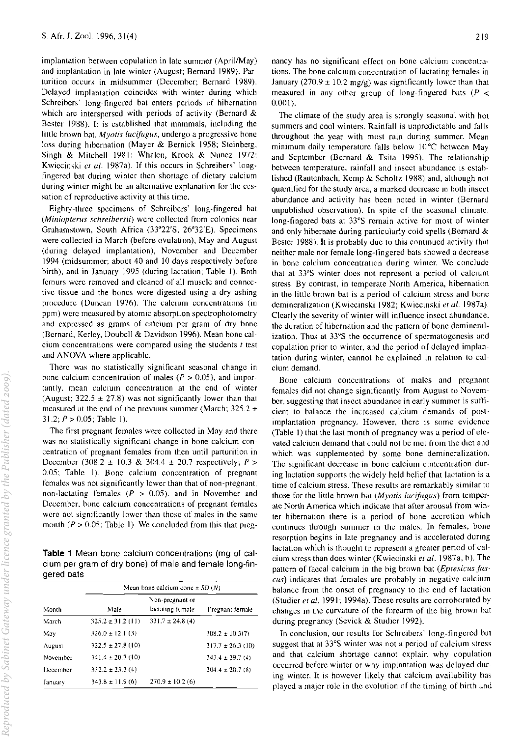implantation between copulation in late summer (April/May) and implantation in late winter (August; Bernard 1989). Parturition occurs in midsummer (Decemher; Bernard 1989). Delayed implantation coincides with winter during which Schreibers' long-fingered bat enters periods of hibernation which are interspersed with periods of activity (Bernard  $\&$ Bester 1988). It is established that mammals, induding the little brown bat, *Myotis lucifugus*, undergo a progressive hone loss during hibernation (Mayer & Bernick 1958; Steinberg, Singh & Mitchell 1981; Whalen, Krook & Nunez 1972; Kwiecinski et al. 1987a). If this occurs in Schreibers' longfingered bat during winter then shortage of dietary calcium during winter might be an alternative explanation for the cessation of reproductive activity at this time.

Eighty-three specimens of Schreibers' long-fingered bat *(Miniopterus schreihersii)* were collected from colonies ncar Grahamstown, South Africa (33"22'S, 26"32'E). Specimens were collected in March (before ovulation), May and August (during delayed implantation), November and December 1994 (midsummer; about 40 and 10 days respectively before hirth), and in January 1995 (during lactation; Table I). Both femurs were removed and cleaned of all muscle and connective tissue and the bones were digested using a dry ashing procedure (Duncan 1976). The calcium concentrations (in ppm) were measured by atomic absorption spectrophotometry and expressed as grams of calcium per gram of dry bone (Bernard, Kerley, Doubell & Davidson 1996). Mean hone calcium concentrations were compared using the students  $t$  test and ANOYA where applicable.

There was no statistically significant seasonal change in bone calcium concentration of males ( $P > 0.05$ ), and importantly. mean calcium concentration at the end of winter (August;  $322.5 \pm 27.8$ ) was not significantly lower than that measured at the end of the previous summer (March;  $325.2 \pm$ 31.2; *P>* 0.05; Table I).

The first pregnant females were collected in May and there was no statistically significant change in bone calcium concentration of pregnant females from then until parturition in December (308.2 ± 10.3 & 304,4 ± 20.7 respectively; *P>*  0.05; Table I). Bone calcium concentration of pregnant females was not significantly lower than that of non-pregnant. non-lactating females ( $P > 0.05$ ), and in November and Decemher, hone calcium concentrations of pregnant females were not significantly lower than those of males in the same month  $(P > 0.05$ ; Table 1). We concluded from this that preg-

Table 1 Mean bone calcium concentrations (mg of calcium per gram of dry bone) of male and female long-fingered bats

| Month    | Mean bone calcium conc $\pm SD(N)$ |                                     |                       |  |
|----------|------------------------------------|-------------------------------------|-----------------------|--|
|          | Male                               | Non-pregnant or<br>lactating female | Pregnant female       |  |
| March    | $325.2 \pm 31.2$ (11)              | $331.7 \pm 24.8$ (4)                |                       |  |
| May      | $326.0 \pm 12.1$ (3)               |                                     | $308.2 \pm 10.3(7)$   |  |
| August   | $322.5 \pm 27.8$ (10)              |                                     | $317.7 \pm 26.3$ (10) |  |
| November | $341.4 \pm 20.7$ (10)              |                                     | $343.4 \pm 39.7(4)$   |  |
| December | $332.2 \pm 23.3(4)$                |                                     | $304.4 \pm 20.7$ (8)  |  |
| January  | $343.8 \pm 11.9$ (6)               | $270.9 \pm 10.2$ (6)                |                       |  |

nancy has no significant effect on hone calcium concentrations. The bone calcium concentration of lactating females in January (270.9  $\pm$  10.2 mg/g) was significantly lower than that measured in any other group of long-fingered bats ( $P$  <  $0.001$ ).

The climate of the study area is strongly seasonal with hot summers and cool winters. Rainfall is unpredictable and falls throughout the year with most rain during summer. Mean minimum daily temperature falls below 10°C between May and September (Bernard  $\&$  Tsita 1995). The relationship between temperature, rainfall and insect abundance is estahlished (Rautenbach, Kemp & Scholtz 1988) and, although not quantified for the study area, a marked decrease in both insect abundance and activity has been noted in winter (Bernard unpublished observation). In spite of the seasonal climate, long-fingered bats at 33°S remain active for most of winter and only hibernate during particularly cold spells (Bernard  $\&$ Bester 1988). It is probably due to this continued activity that neither male nor female long-fingered bats showed a decrease in bone calcium concentration during winter. We conclude that at 33°S winter does not represent a period of calcium stress. By contrast, in temperate North America, hibernation in the little brown bat is a period of calcium stress and bone demineralization (Kwiecinski 1982; Kwiecinski *et al.* 1987a). Clearly the severity of winter will influence insect abundance, the duration of hibernation and the pattern of bone demineralization, Thus at 33°S the occurrence of spermatogenesis and copulation prior to winter, and the period of delayed implantation during winter, cannot he explained in relation to calcium demand.

Bone calcium concentrations of males and pregnant females did not change significantly from August to November, suggesting that insect abundance in early summer is sufficient to balance the increased calcium demands of postimplantation pregnancy. However, there is some evidence (Table 1) that the last month of pregnancy was a period of elevated calcium demand that could not be met from the diet and which was supplemented by some bone demineralization. The significant decrease in bone calcium concentration during lactation supports the widely held helief that lactation is a time of calcium stress. These results are remarkably similar to those for the little brown bat *(Myotis lucifugus)* from temperate North America which indicate that after arousal from winter hibernation there is a period of bone accretion which continues through summer in the males. In females, bone resorption begins in late pregnancy and is accelerated during lactation which is thought to represent a greater period of calcium stress than does winter (Kwiecinski *et at.* 1987a, b). The pattern of faecal calcium in the big brown bat *(Eptesicus fuscus)* indicates that females are probahly in negative calcium balance from the onset of pregnancy to the end of lactation (Studier *et ai,* 1991; 1994a). These results arc corroborated by changes in the curvature of the forearm of the big hrown bat during pregnancy (Sevick & Studier 1992).

In conclusion, our results for Schreibers' long-fingered hat suggest that at 33°S winter was not a period of calcium stress and that calcium shortage cannot explain why copulation occurred before winter or why implantation was delayed during winter. It is however likely that calcium availability has played a major role in the evolution of the timing of birth and